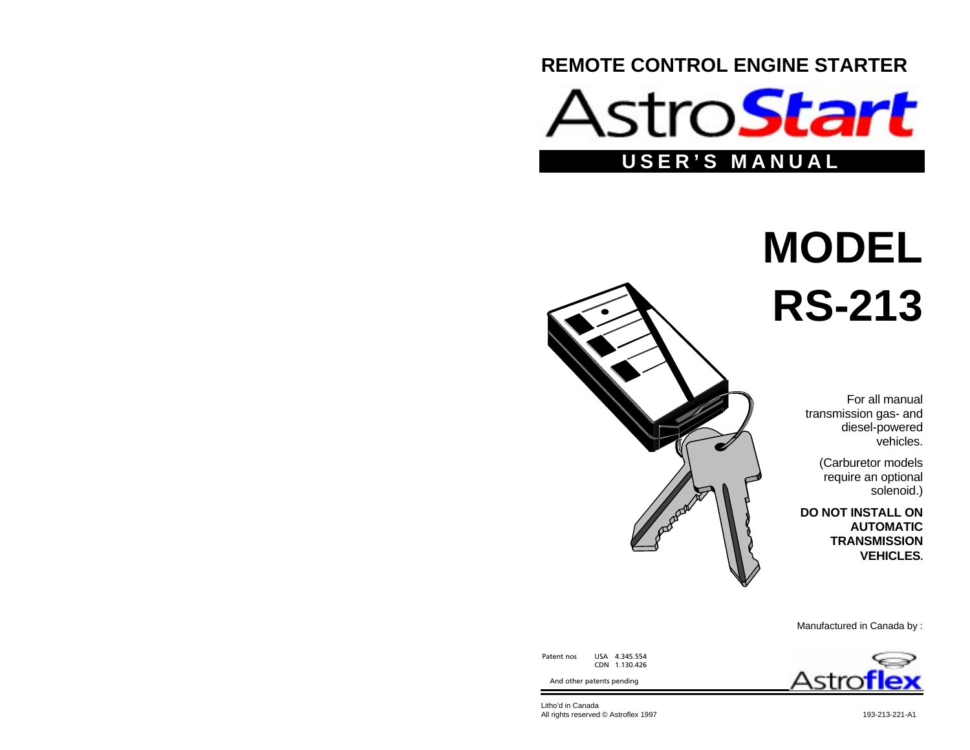



# **MODEL RS-213**

For all manualtransmission gas- and diesel-powered vehicles.

> (Carburetor models require an optional solenoid.)

**DO NOT INSTALL ONAUTOMATICTRANSMISSIONVEHICLES.**



Manufactured in Canada by :



Patent nos USA 4.345.554 CDN 1.130.426

And other patents pending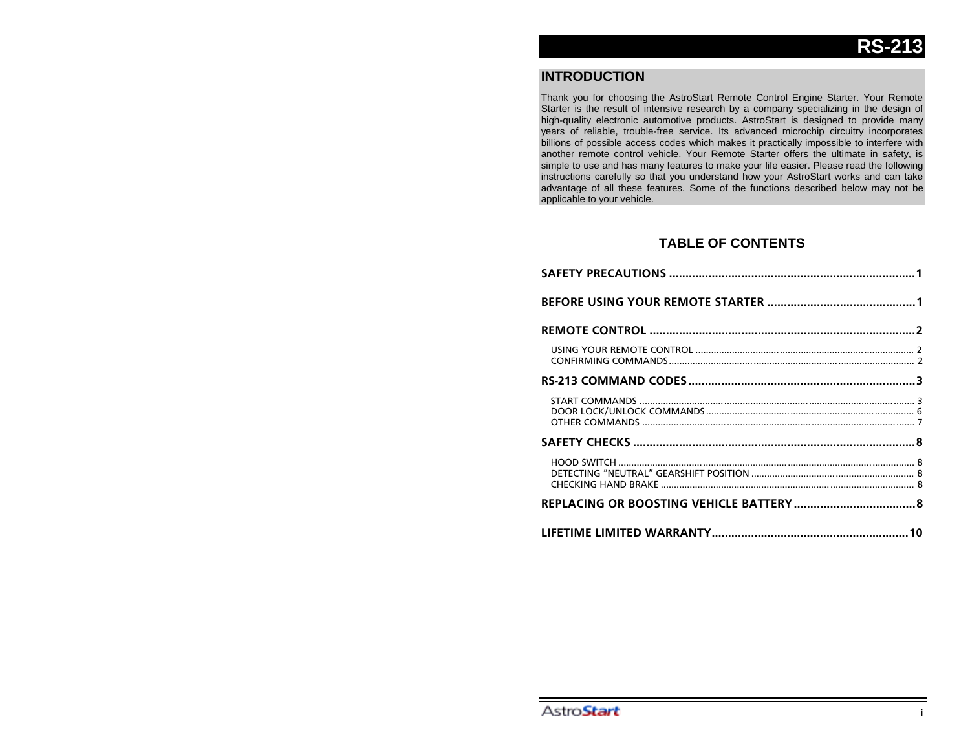# **INTRODUCTION**

Thank you for choosing the AstroStart Remote Control Engine Starter. Your Remote Starter is the result of intensive research by a company specializing in the design of high-quality electronic automotive products. AstroStart is designed to provide many years of reliable, trouble-free service. Its advanced microchip circuitry incorporates billions of possible access codes which makes it practically impossible to interfere with another remote control vehicle. Your Remote Starter offers the ultimate in safety, is simple to use and has many features to make your life easier. Please read the following instructions carefully so that you understand how your AstroStart works and can take advantage of all these features. Some of the functions described below may not be applicable to your vehicle.

# **TABLE OF CONTENTS**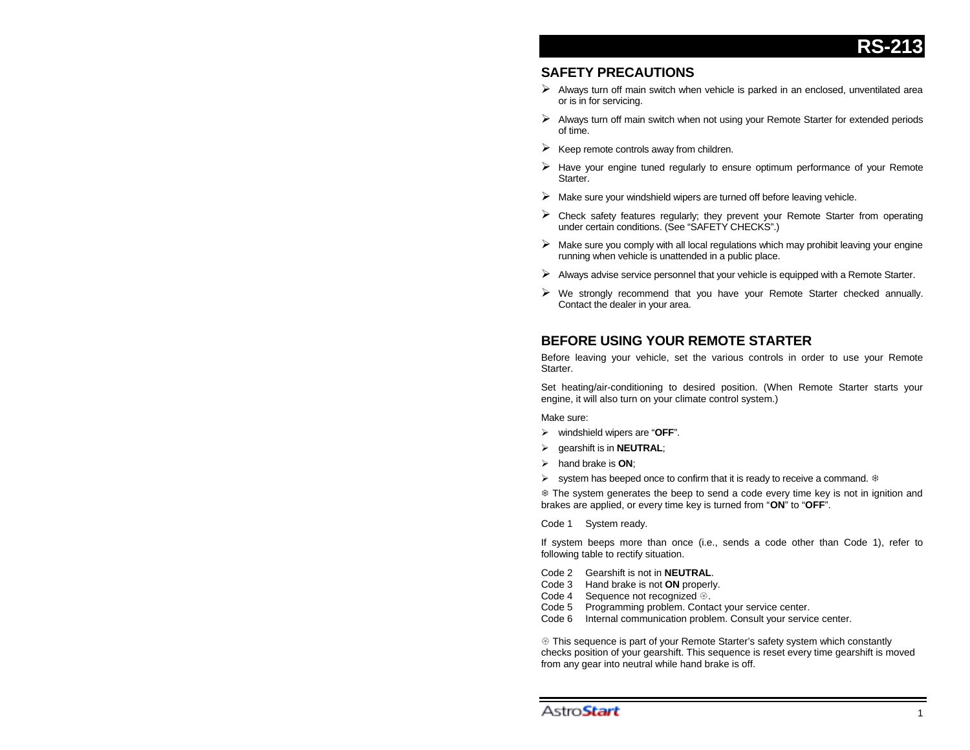# **SAFETY PRECAUTIONS**

- $\triangleright$  Always turn off main switch when vehicle is parked in an enclosed, unventilated area or is in for servicing.
- $\triangleright$  Always turn off main switch when not using your Remote Starter for extended periods of time.
- $\triangleright$  Keep remote controls away from children.
- $\triangleright$  Have your engine tuned regularly to ensure optimum performance of your Remote **Starter**
- $\triangleright$  Make sure your windshield wipers are turned off before leaving vehicle.
- $\triangleright$  Check safety features regularly; they prevent your Remote Starter from operating under certain conditions. (See "SAFETY CHECKS".)
- $\triangleright$  Make sure you comply with all local regulations which may prohibit leaving your engine running when vehicle is unattended in a public place.
- $\triangleright$  Always advise service personnel that your vehicle is equipped with a Remote Starter.
- $\triangleright$  We strongly recommend that you have your Remote Starter checked annually. Contact the dealer in your area.

# **BEFORE USING YOUR REMOTE STARTER**

Before leaving your vehicle, set the various controls in order to use your Remote Starter.

Set heating/air-conditioning to desired position. (When Remote Starter starts your engine, it will also turn on your climate control system.)

Make sure:

- ¾ windshield wipers are "**OFF**".
- ¾ gearshift is in **NEUTRAL**;
- ¾ hand brake is **ON**;
- $\triangleright$  system has beeped once to confirm that it is ready to receive a command.  $\ast$

7 The system generates the beep to send a code every time key is not in ignition and brakes are applied, or every time key is turned from "**ON**" to "**OFF**".

Code 1 System ready.

If system beeps more than once (i.e., sends a code other than Code 1), refer to following table to rectify situation.

- Code 2 Gearshift is not in **NEUTRAL**.
- Code 3 Hand brake is not **ON** properly.
- Code 4 Sequence not recognized  $@$ .
- Code 5 Programming problem. Contact your service center.
- Internal communication problem. Consult your service center.

**E** This sequence is part of your Remote Starter's safety system which constantly checks position of your gearshift. This sequence is reset every time gearshift is moved from any gear into neutral while hand brake is off.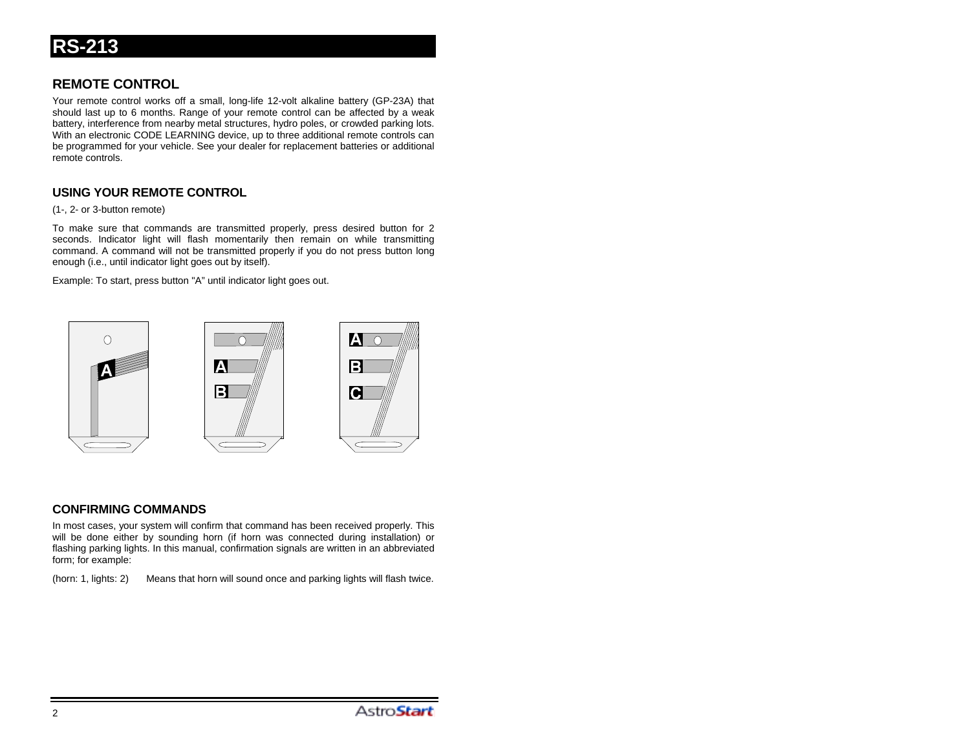# **REMOTE CONTROL**

Your remote control works off a small, long-life 12-volt alkaline battery (GP-23A) that should last up to 6 months. Range of your remote control can be affected by a weak battery, interference from nearby metal structures, hydro poles, or crowded parking lots. With an electronic CODE LEARNING device, up to three additional remote controls can be programmed for your vehicle. See your dealer for replacement batteries or additional remote controls.

# **USING YOUR REMOTE CONTROL**

(1-, 2- or 3-button remote)

To make sure that commands are transmitted properly, press desired button for 2 seconds. Indicator light will flash momentarily then remain on while transmitting command. A command will not be transmitted properly if you do not press button long enough (i.e., until indicator light goes out by itself).

Example: To start, press button "A" until indicator light goes out.



## **CONFIRMING COMMANDS**

In most cases, your system will confirm that command has been received properly. This will be done either by sounding horn (if horn was connected during installation) or flashing parking lights. In this manual, confirmation signals are written in an abbreviated form; for example:

(horn: 1, lights: 2) Means that horn will sound once and parking lights will flash twice.

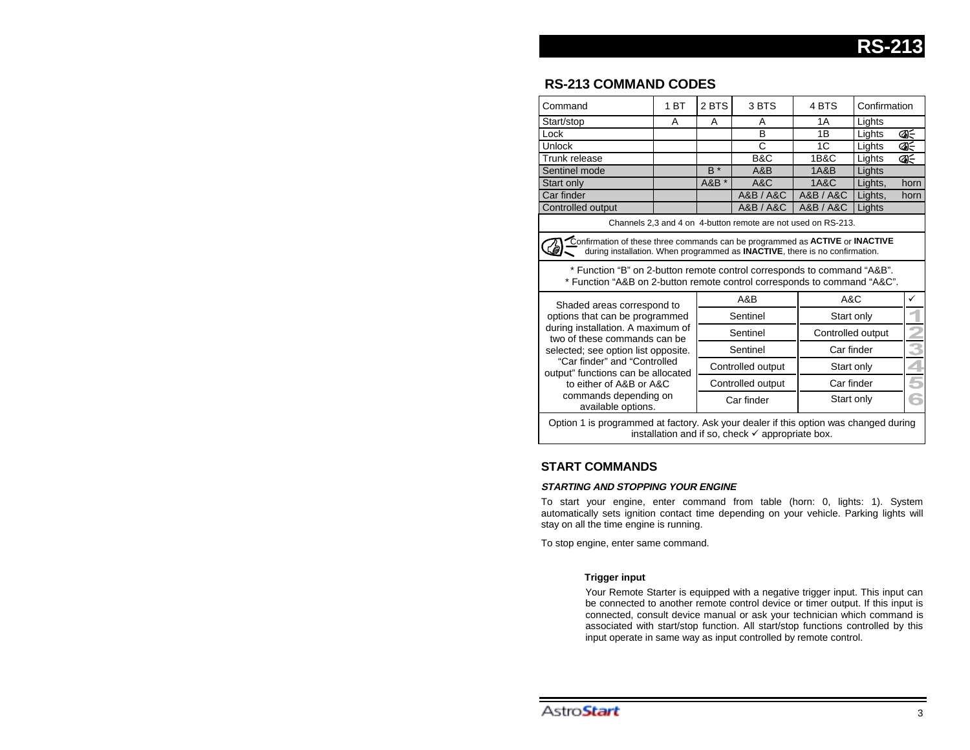# **RS-213 COMMAND CODES**

| Command                                                                                                                                                                                                                                                                                                                  | 1 <sub>BT</sub> | 2 BTS             | 3 BTS     | 4 BTS             | Confirmation |      |  |  |
|--------------------------------------------------------------------------------------------------------------------------------------------------------------------------------------------------------------------------------------------------------------------------------------------------------------------------|-----------------|-------------------|-----------|-------------------|--------------|------|--|--|
| Start/stop                                                                                                                                                                                                                                                                                                               | A               | A                 | A         | 1 A               | Lights       |      |  |  |
| Lock                                                                                                                                                                                                                                                                                                                     |                 |                   | B         | 1B                | Lights       | Ñ    |  |  |
| <b>Unlock</b>                                                                                                                                                                                                                                                                                                            |                 |                   | C         | 1C                | Lights       | රැ∈  |  |  |
| Trunk release                                                                                                                                                                                                                                                                                                            |                 |                   | B&C       | <b>1B&amp;C</b>   | Lights       | ଏ∈   |  |  |
| Sentinel mode                                                                                                                                                                                                                                                                                                            |                 | $B^*$             | A&B       | <b>1A&amp;B</b>   | Lights       |      |  |  |
| Start only                                                                                                                                                                                                                                                                                                               |                 | A&B *             | A&C       | <b>1A&amp;C</b>   | Lights,      | horn |  |  |
| Car finder                                                                                                                                                                                                                                                                                                               |                 |                   | A&B / A&C | A&B / A&C         | Lights,      | horn |  |  |
| Controlled output                                                                                                                                                                                                                                                                                                        |                 |                   | A&B / A&C | A&B / A&C         | Lights       |      |  |  |
| Channels 2,3 and 4 on 4-button remote are not used on RS-213.                                                                                                                                                                                                                                                            |                 |                   |           |                   |              |      |  |  |
| Confirmation of these three commands can be programmed as ACTIVE or INACTIVE<br>during installation. When programmed as <b>INACTIVE</b> , there is no confirmation.                                                                                                                                                      |                 |                   |           |                   |              |      |  |  |
| * Function "B" on 2-button remote control corresponds to command "A&B".<br>* Function "A&B on 2-button remote control corresponds to command "A&C".                                                                                                                                                                      |                 |                   |           |                   |              |      |  |  |
| Shaded areas correspond to<br>options that can be programmed<br>during installation. A maximum of<br>two of these commands can be<br>selected; see option list opposite.<br>"Car finder" and "Controlled<br>output" functions can be allocated<br>to either of A&B or A&C<br>commands depending on<br>available options. |                 | A&B               |           | A&C               |              | ✓    |  |  |
|                                                                                                                                                                                                                                                                                                                          |                 | Sentinel          |           | Start only        |              |      |  |  |
|                                                                                                                                                                                                                                                                                                                          |                 | Sentinel          |           | Controlled output |              |      |  |  |
|                                                                                                                                                                                                                                                                                                                          |                 | Sentinel          |           | Car finder        |              |      |  |  |
|                                                                                                                                                                                                                                                                                                                          |                 | Controlled output |           | Start only        |              |      |  |  |
|                                                                                                                                                                                                                                                                                                                          |                 | Controlled output |           | Car finder        |              | 5    |  |  |
|                                                                                                                                                                                                                                                                                                                          |                 | Car finder        |           | Start only        |              | 6    |  |  |
| Option 1 is programmed at factory. Ack your dealer if this entign was shaped during                                                                                                                                                                                                                                      |                 |                   |           |                   |              |      |  |  |

Option 1 is programmed at factory. Ask your dealer if this option was changed during installation and if so, check  $\checkmark$  appropriate box.

## **START COMMANDS**

#### **STARTING AND STOPPING YOUR ENGINE**

To start your engine, enter command from table (horn: 0, lights: 1). System automatically sets ignition contact time depending on your vehicle. Parking lights will stay on all the time engine is running.

To stop engine, enter same command.

#### **Trigger input**

Your Remote Starter is equipped with a negative trigger input. This input can be connected to another remote control device or timer output. If this input is connected, consult device manual or ask your technician which command is associated with start/stop function. All start/stop functions controlled by this input operate in same way as input controlled by remote control.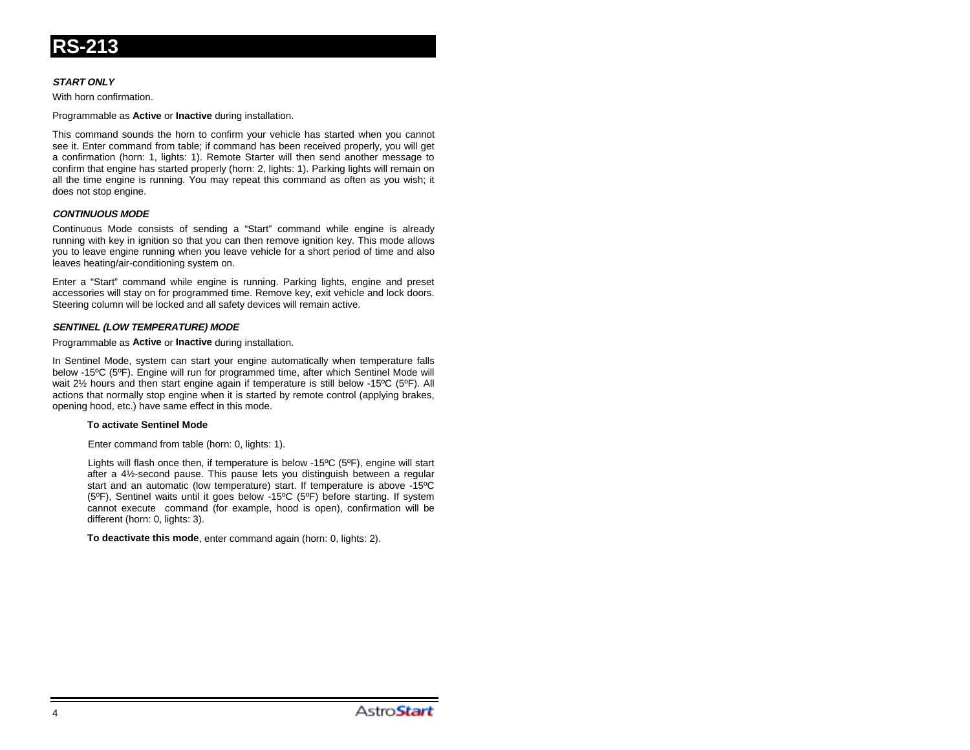

#### **START ONLY**

With horn confirmation.

Programmable as **Active** or **Inactive** during installation.

This command sounds the horn to confirm your vehicle has started when you cannot see it. Enter command from table; if command has been received properly, you will get a confirmation (horn: 1, lights: 1). Remote Starter will then send another message to confirm that engine has started properly (horn: 2, lights: 1). Parking lights will remain on all the time engine is running. You may repeat this command as often as you wish; it does not stop engine.

#### **CONTINUOUS MODE**

Continuous Mode consists of sending a "Start" command while engine is already running with key in ignition so that you can then remove ignition key. This mode allows you to leave engine running when you leave vehicle for a short period of time and also leaves heating/air-conditioning system on.

Enter a "Start" command while engine is running. Parking lights, engine and preset accessories will stay on for programmed time. Remove key, exit vehicle and lock doors. Steering column will be locked and all safety devices will remain active.

#### **SENTINEL (LOW TEMPERATURE) MODE**

Programmable as **Active** or **Inactive** during installation.

In Sentinel Mode, system can start your engine automatically when temperature falls below -15ºC (5ºF). Engine will run for programmed time, after which Sentinel Mode will wait 2½ hours and then start engine again if temperature is still below -15ºC (5ºF). All actions that normally stop engine when it is started by remote control (applying brakes, opening hood, etc.) have same effect in this mode.

#### **To activate Sentinel Mode**

Enter command from table (horn: 0, lights: 1).

Lights will flash once then, if temperature is below -15ºC (5ºF), engine will start after a 4½-second pause. This pause lets you distinguish between a regular start and an automatic (low temperature) start. If temperature is above -15ºC (5ºF), Sentinel waits until it goes below -15ºC (5ºF) before starting. If system cannot execute command (for example, hood is open), confirmation will be different (horn: 0, lights: 3).

**To deactivate this mode**, enter command again (horn: 0, lights: 2).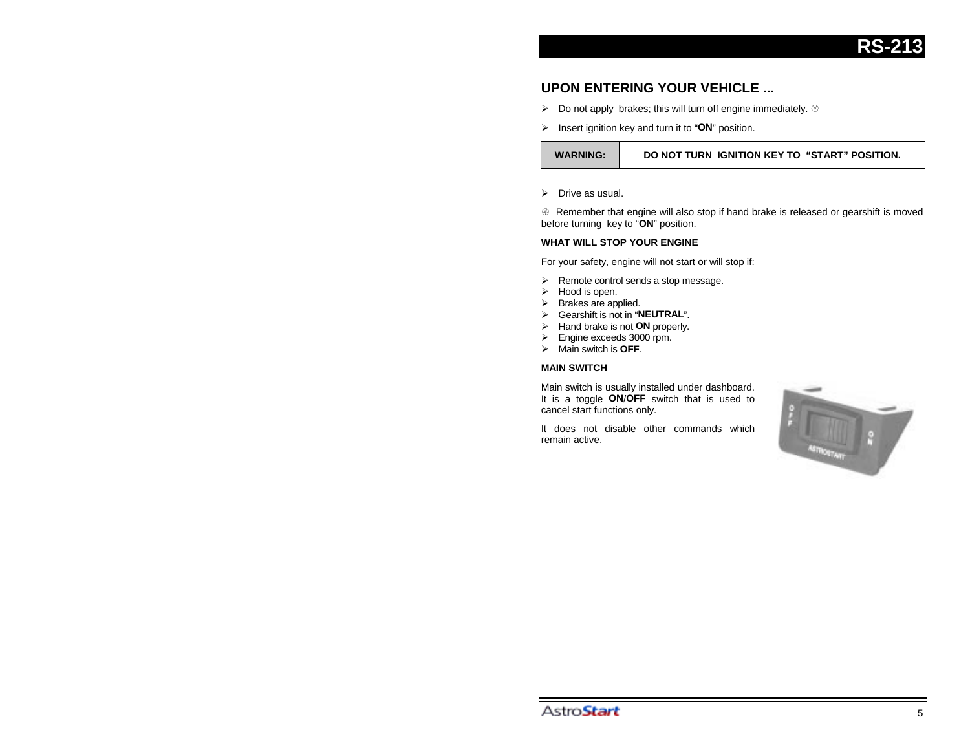

# **UPON ENTERING YOUR VEHICLE ...**

- $\triangleright$  Do not apply brakes; this will turn off engine immediately.  $\circledast$
- ¾ Insert ignition key and turn it to "**ON**" position.

#### **WARNING: DO NOT TURN IGNITION KEY TO "START" POSITION.**

 $\triangleright$  Drive as usual.

 $\circledast$  Remember that engine will also stop if hand brake is released or gearshift is moved before turning key to "**ON**" position.

#### **WHAT WILL STOP YOUR ENGINE**

For your safety, engine will not start or will stop if:

- $\triangleright$  Remote control sends a stop message.
- $\triangleright$  Hood is open.
- $\triangleright$  Brakes are applied.
- ¾ Gearshift is not in "**NEUTRAL**".
- ¾ Hand brake is not **ON** properly.
- ¾ Engine exceeds 3000 rpm.
- ¾ Main switch is **OFF**.

#### **MAIN SWITCH**

Main switch is usually installed under dashboard. It is a toggle **ON**/**OFF** switch that is used to cancel start functions only.

It does not disable other commands whichremain active.

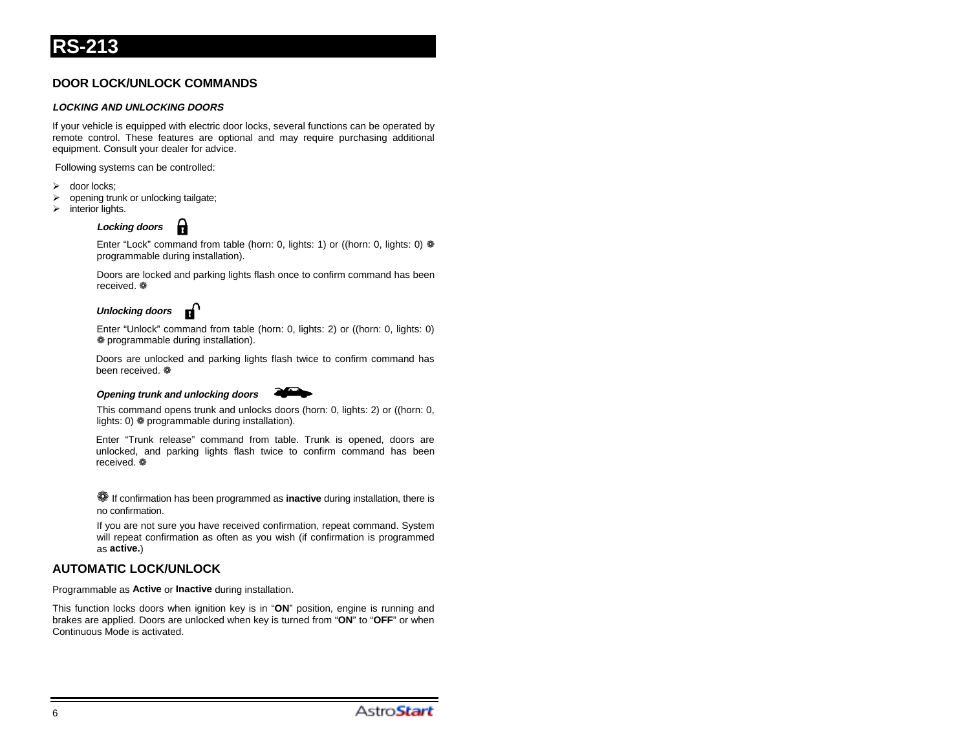# **DOOR LOCK/UNLOCK COMMANDS**

#### **LOCKING AND UNLOCKING DOORS**

If your vehicle is equipped with electric door locks, several functions can be operated by remote control. These features are optional and may require purchasing additional equipment. Consult your dealer for advice.

Following systems can be controlled:

- door locks;
- $\triangleright$  opening trunk or unlocking tailgate;
- $\triangleright$  interior lights.

# **Locking doors**

Enter "Lock" command from table (horn: 0, lights: 1) or ((horn: 0, lights: 0)  $*$ programmable during installation).

Doors are locked and parking lights flash once to confirm command has been received. ❁

### **Unlocking doors**

Enter "Unlock" command from table (horn: 0, lights: 2) or ((horn: 0, lights: 0) ❁ programmable during installation).

Doors are unlocked and parking lights flash twice to confirm command has been received. ❁

#### **Opening trunk and unlocking doors**



This command opens trunk and unlocks doors (horn: 0, lights: 2) or ((horn: 0, lights: 0)  $*$  programmable during installation).

Enter "Trunk release" command from table. Trunk is opened, doors are unlocked, and parking lights flash twice to confirm command has been received. ❁

❁ If confirmation has been programmed as **inactive** during installation, there is no confirmation.

If you are not sure you have received confirmation, repeat command. System will repeat confirmation as often as you wish (if confirmation is programmed as **active.**)

# **AUTOMATIC LOCK/UNLOCK**

Programmable as **Active** or **Inactive** during installation.

This function locks doors when ignition key is in "**ON**" position, engine is running and brakes are applied. Doors are unlocked when key is turned from "**ON**" to "**OFF**" or when Continuous Mode is activated.

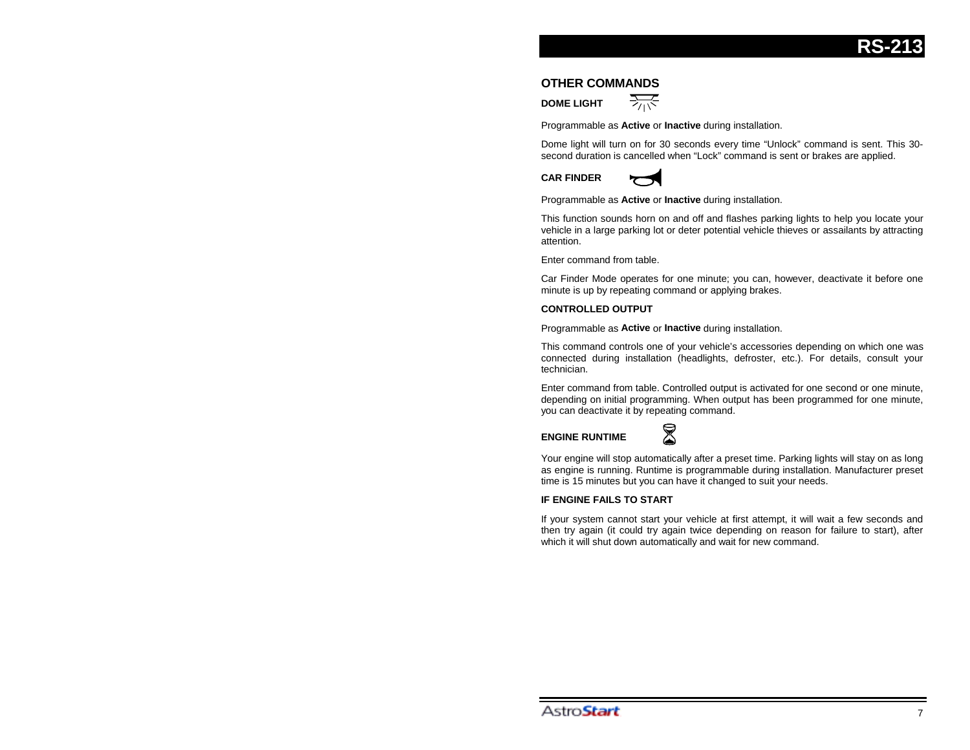#### **OTHER COMMANDS**

**DOME LIGHT**



Programmable as **Active** or **Inactive** during installation.

Dome light will turn on for 30 seconds every time "Unlock" command is sent. This 30 second duration is cancelled when "Lock" command is sent or brakes are applied.

**CAR FINDER**



Programmable as **Active** or **Inactive** during installation.

This function sounds horn on and off and flashes parking lights to help you locate your vehicle in a large parking lot or deter potential vehicle thieves or assailants by attracting attention.

Enter command from table.

Car Finder Mode operates for one minute; you can, however, deactivate it before one minute is up by repeating command or applying brakes.

#### **CONTROLLED OUTPUT**

Programmable as **Active** or **Inactive** during installation.

This command controls one of your vehicle's accessories depending on which one was connected during installation (headlights, defroster, etc.). For details, consult your technician.

Enter command from table. Controlled output is activated for one second or one minute, depending on initial programming. When output has been programmed for one minute, you can deactivate it by repeating command.

#### **ENGINE RUNTIME**



Your engine will stop automatically after a preset time. Parking lights will stay on as long as engine is running. Runtime is programmable during installation. Manufacturer preset time is 15 minutes but you can have it changed to suit your needs.

#### **IF ENGINE FAILS TO START**

If your system cannot start your vehicle at first attempt, it will wait a few seconds and then try again (it could try again twice depending on reason for failure to start), after which it will shut down automatically and wait for new command.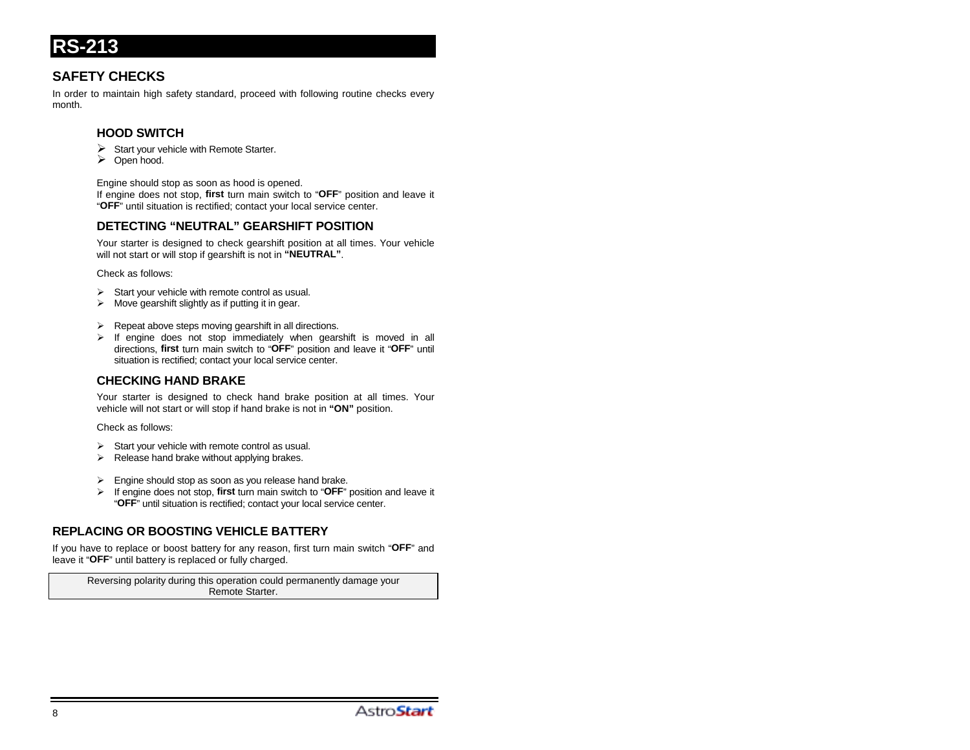# **SAFETY CHECKS**

In order to maintain high safety standard, proceed with following routine checks every month.

## **HOOD SWITCH**

- $\triangleright$  Start your vehicle with Remote Starter.
- $\triangleright$  Open hood.

Engine should stop as soon as hood is opened.

If engine does not stop, **first** turn main switch to "**OFF**" position and leave it "**OFF**" until situation is rectified; contact your local service center.

# **DETECTING "NEUTRAL" GEARSHIFT POSITION**

Your starter is designed to check gearshift position at all times. Your vehicle will not start or will stop if gearshift is not in **"NEUTRAL"**.

Check as follows:

- $\triangleright$  Start your vehicle with remote control as usual.
- $\triangleright$  Move gearshift slightly as if putting it in gear.
- Repeat above steps moving gearshift in all directions.
- If engine does not stop immediately when gearshift is moved in all directions, **first** turn main switch to "**OFF**" position and leave it "**OFF**" until situation is rectified; contact your local service center.

## **CHECKING HAND BRAKE**

Your starter is designed to check hand brake position at all times. Your vehicle will not start or will stop if hand brake is not in **"ON"** position.

Check as follows:

- $\triangleright$  Start your vehicle with remote control as usual.
- $\triangleright$  Release hand brake without applying brakes.
- $\triangleright$  Engine should stop as soon as you release hand brake.
- ¾ If engine does not stop, **first** turn main switch to "**OFF**" position and leave it "**OFF**" until situation is rectified; contact your local service center.

## **REPLACING OR BOOSTING VEHICLE BATTERY**

If you have to replace or boost battery for any reason, first turn main switch "**OFF**" and leave it "**OFF**" until battery is replaced or fully charged.

Reversing polarity during this operation could permanently damage your Remote Starter.

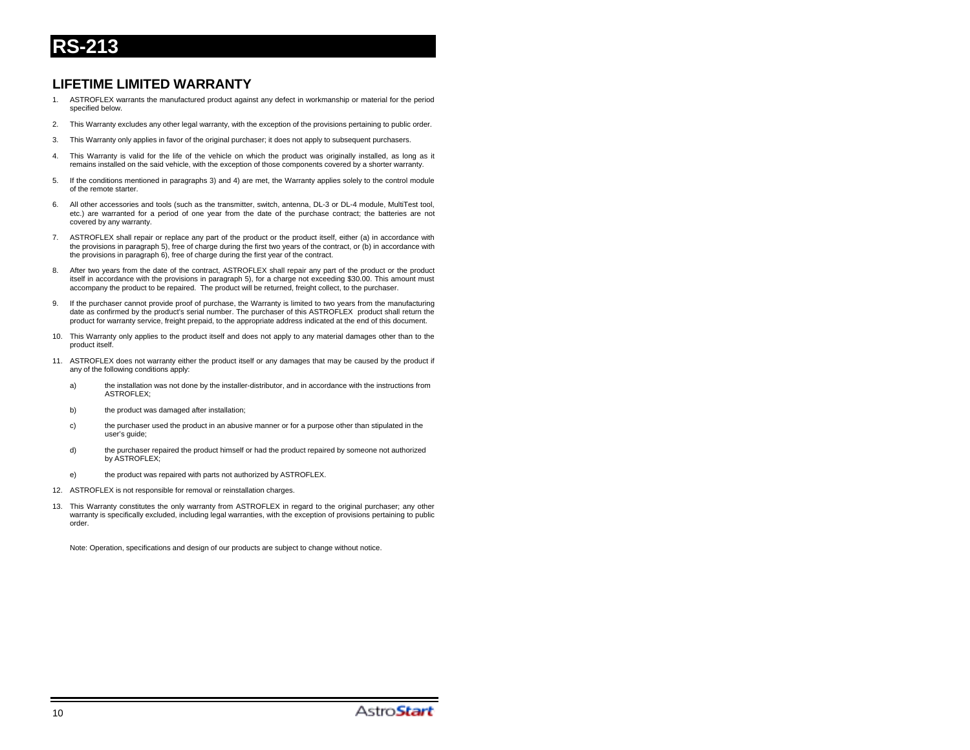# **LIFETIME LIMITED WARRANTY**

- 1. ASTROFLEX warrants the manufactured product against any defect in workmanship or material for the period specified below.
- 2. This Warranty excludes any other legal warranty, with the exception of the provisions pertaining to public order.
- 3. This Warranty only applies in favor of the original purchaser; it does not apply to subsequent purchasers.
- 4. This Warranty is valid for the life of the vehicle on which the product was originally installed, as long as it remains installed on the said vehicle, with the exception of those components covered by a shorter warranty.
- 5. If the conditions mentioned in paragraphs 3) and 4) are met, the Warranty applies solely to the control module of the remote starter.
- 6. All other accessories and tools (such as the transmitter, switch, antenna, DL-3 or DL-4 module, MultiTest tool, etc.) are warranted for a period of one year from the date of the purchase contract; the batteries are not covered by any warranty.
- 7. ASTROFLEX shall repair or replace any part of the product or the product itself, either (a) in accordance with the provisions in paragraph 5), free of charge during the first two years of the contract, or (b) in accordance with the provisions in paragraph 6), free of charge during the first year of the contract.
- 8. After two years from the date of the contract, ASTROFLEX shall repair any part of the product or the product itself in accordance with the provisions in paragraph 5), for a charge not exceeding \$30.00. This amount must accompany the product to be repaired. The product will be returned, freight collect, to the purchaser.
- 9. If the purchaser cannot provide proof of purchase, the Warranty is limited to two years from the manufacturing date as confirmed by the product's serial number. The purchaser of this ASTROFLEX product shall return the product for warranty service, freight prepaid, to the appropriate address indicated at the end of this document.
- 10. This Warranty only applies to the product itself and does not apply to any material damages other than to the product itself.
- 11. ASTROFLEX does not warranty either the product itself or any damages that may be caused by the product if any of the following conditions apply:
	- a) the installation was not done by the installer-distributor, and in accordance with the instructions from **ASTROFLEX:**
	- b) the product was damaged after installation;
	- c) the purchaser used the product in an abusive manner or for a purpose other than stipulated in the user's guide;
	- d) the purchaser repaired the product himself or had the product repaired by someone not authorized by ASTROFLEX;
	- e) the product was repaired with parts not authorized by ASTROFLEX.
- 12. ASTROFLEX is not responsible for removal or reinstallation charges.
- 13. This Warranty constitutes the only warranty from ASTROFLEX in regard to the original purchaser; any other warranty is specifically excluded, including legal warranties, with the exception of provisions pertaining to public order.

Note: Operation, specifications and design of our products are subject to change without notice.

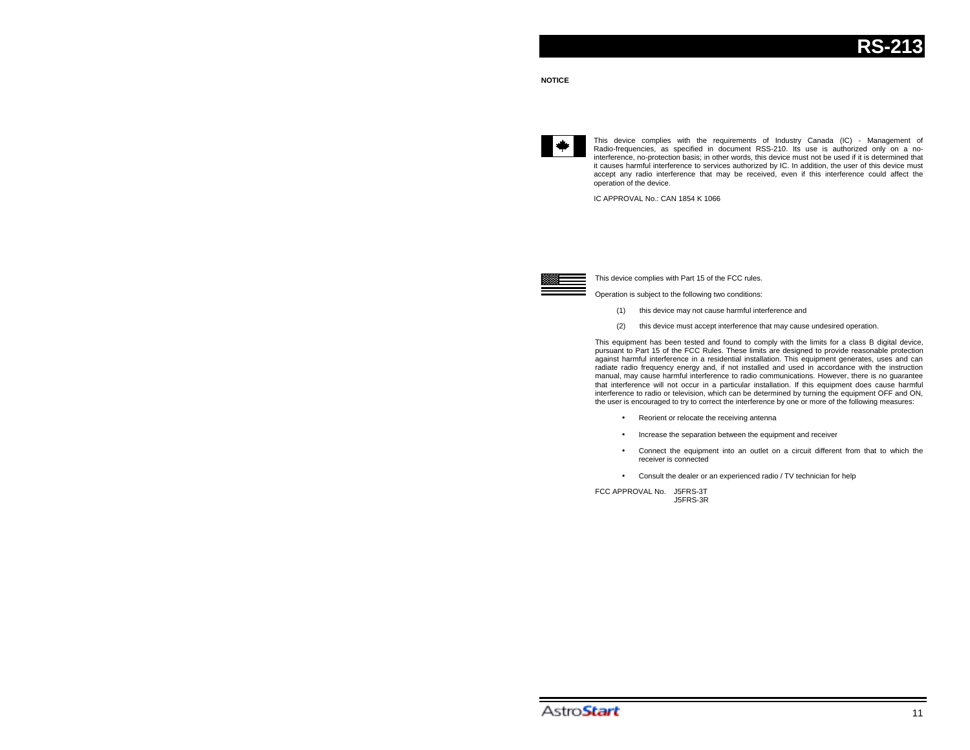

This device complies with the requirements of Industry Canada (IC) - Management of Radio-frequencies, as specified in document RSS-210. Its use is authorized only on a nointerference, no-protection basis; in other words, this device must not be used if it is determined that it causes harmful interference to services authorized by IC. In addition, the user of this device must accept any radio interference that may be received, even if this interference could affect the operation of the device.

IC APPROVAL No.: CAN 1854 K 1066



This device complies with Part 15 of the FCC rules.

Operation is subject to the following two conditions:

- (1) this device may not cause harmful interference and
- (2) this device must accept interference that may cause undesired operation.

This equipment has been tested and found to comply with the limits for a class B digital device, pursuant to Part 15 of the FCC Rules. These limits are designed to provide reasonable protection against harmful interference in a residential installation. This equipment generates, uses and can radiate radio frequency energy and, if not installed and used in accordance with the instruction manual, may cause harmful interference to radio communications. However, there is no guarantee that interference will not occur in a particular installation. If this equipment does cause harmful interference to radio or television, which can be determined by turning the equipment OFF and ON, the user is encouraged to try to correct the interference by one or more of the following measures:

- Reorient or relocate the receiving antenna
- Increase the separation between the equipment and receiver
- Connect the equipment into an outlet on a circuit different from that to which the receiver is connected
- Consult the dealer or an experienced radio / TV technician for help

FCC APPROVAL No. J5FRS-3TJ5FRS-3R